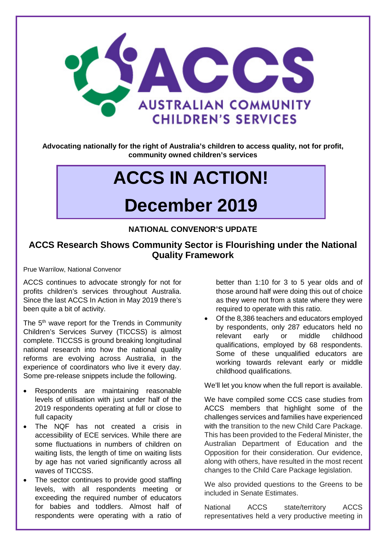

**Advocating nationally for the right of Australia's children to access quality, not for profit, community owned children's services**

# **ACCS IN ACTION!**

## **December 2019**

#### **NATIONAL CONVENOR'S UPDATE**

#### **ACCS Research Shows Community Sector is Flourishing under the National Quality Framework**

Prue Warrilow, National Convenor

ACCS continues to advocate strongly for not for profits children's services throughout Australia. Since the last ACCS In Action in May 2019 there's been quite a bit of activity.

The 5<sup>th</sup> wave report for the Trends in Community Children's Services Survey (TICCSS) is almost complete. TICCSS is ground breaking longitudinal national research into how the national quality reforms are evolving across Australia, in the experience of coordinators who live it every day. Some pre-release snippets include the following.

- Respondents are maintaining reasonable levels of utilisation with just under half of the 2019 respondents operating at full or close to full capacity
- The NQF has not created a crisis in accessibility of ECE services. While there are some fluctuations in numbers of children on waiting lists, the length of time on waiting lists by age has not varied significantly across all waves of TICCSS.
- The sector continues to provide good staffing levels, with all respondents meeting or exceeding the required number of educators for babies and toddlers. Almost half of respondents were operating with a ratio of

better than 1:10 for 3 to 5 year olds and of those around half were doing this out of choice as they were not from a state where they were required to operate with this ratio.

• Of the 8,386 teachers and educators employed by respondents, only 287 educators held no relevant early or middle childhood qualifications, employed by 68 respondents. Some of these unqualified educators are working towards relevant early or middle childhood qualifications.

We'll let you know when the full report is available.

We have compiled some CCS case studies from ACCS members that highlight some of the challenges services and families have experienced with the transition to the new Child Care Package. This has been provided to the Federal Minister, the Australian Department of Education and the Opposition for their consideration. Our evidence, along with others, have resulted in the most recent changes to the Child Care Package legislation.

We also provided questions to the Greens to be included in Senate Estimates.

National ACCS state/territory ACCS representatives held a very productive meeting in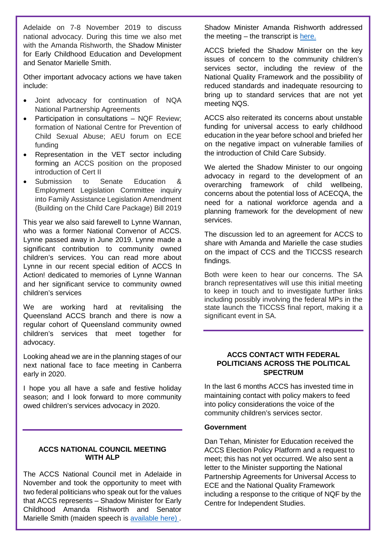Adelaide on 7-8 November 2019 to discuss national advocacy. During this time we also met with the Amanda Rishworth, the Shadow Minister for Early Childhood Education and Development and Senator Marielle Smith.

Other important advocacy actions we have taken include:

- Joint advocacy for continuation of NQA National Partnership Agreements
- Participation in consultations NQF Review; formation of National Centre for Prevention of Child Sexual Abuse; AEU forum on ECE funding
- Representation in the VET sector including forming an ACCS position on the proposed introduction of Cert II
- Submission to Senate Education & Employment Legislation Committee inquiry into Family Assistance Legislation Amendment (Building on the Child Care Package) Bill 2019

This year we also said farewell to Lynne Wannan, who was a former National Convenor of ACCS. Lynne passed away in June 2019. Lynne made a significant contribution to community owned children's services. You can read more about Lynne in our recent special edition of ACCS In Action! dedicated to memories of Lynne Wannan and her significant service to community owned children's services

We are working hard at revitalising the Queensland ACCS branch and there is now a regular cohort of Queensland community owned children's services that meet together for advocacy.

Looking ahead we are in the planning stages of our next national face to face meeting in Canberra early in 2020.

I hope you all have a safe and festive holiday season; and I look forward to more community owed children's services advocacy in 2020.

#### **ACCS NATIONAL COUNCIL MEETING WITH ALP**

The ACCS National Council met in Adelaide in November and took the opportunity to meet with two federal politicians who speak out for the values that ACCS represents – Shadow Minister for Early Childhood Amanda Rishworth and Senator Marielle Smith (maiden speech is [available here\) .](https://www.aph.gov.au/Senators_and_Members/Parliamentarian?MPID=281603)

Shadow Minister Amanda Rishworth addressed the meeting  $-$  the transcript is [here.](https://rishworth.com.au/news/address-to-the-australian-community-child-care-services-national-council/)

ACCS briefed the Shadow Minister on the key issues of concern to the community children's services sector, including the review of the National Quality Framework and the possibility of reduced standards and inadequate resourcing to bring up to standard services that are not yet meeting NQS.

ACCS also reiterated its concerns about unstable funding for universal access to early childhood education in the year before school and briefed her on the negative impact on vulnerable families of the introduction of Child Care Subsidy.

We alerted the Shadow Minister to our ongoing advocacy in regard to the development of an overarching framework of child wellbeing, concerns about the potential loss of ACECQA, the need for a national workforce agenda and a planning framework for the development of new services.

The discussion led to an agreement for ACCS to share with Amanda and Marielle the case studies on the impact of CCS and the TICCSS research findings.

Both were keen to hear our concerns. The SA branch representatives will use this initial meeting to keep in touch and to investigate further links including possibly involving the federal MPs in the state launch the TICCSS final report, making it a significant event in SA.

#### **ACCS CONTACT WITH FEDERAL POLITICIANS ACROSS THE POLITICAL SPECTRUM**

In the last 6 months ACCS has invested time in maintaining contact with policy makers to feed into policy considerations the voice of the community children's services sector.

#### **Government**

Dan Tehan, Minister for Education received the ACCS Election Policy Platform and a request to meet; this has not yet occurred. We also sent a letter to the Minister supporting the National Partnership Agreements for Universal Access to ECE and the National Quality Framework including a response to the critique of NQF by the Centre for Independent Studies.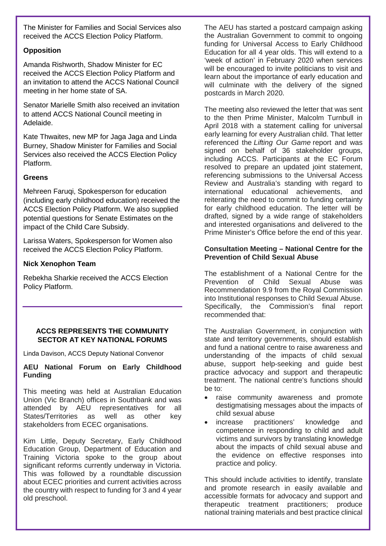The Minister for Families and Social Services also received the ACCS Election Policy Platform.

#### **Opposition**

Amanda Rishworth, Shadow Minister for EC received the ACCS Election Policy Platform and an invitation to attend the ACCS National Council meeting in her home state of SA.

Senator Marielle Smith also received an invitation to attend ACCS National Council meeting in Adelaide.

Kate Thwaites, new MP for Jaga Jaga and Linda Burney, Shadow Minister for Families and Social Services also received the ACCS Election Policy Platform.

#### **Greens**

Mehreen Faruqi, Spokesperson for education (including early childhood education) received the ACCS Election Policy Platform. We also supplied potential questions for Senate Estimates on the impact of the Child Care Subsidy.

Larissa Waters, Spokesperson for Women also received the ACCS Election Policy Platform.

#### **Nick Xenophon Team**

Rebekha Sharkie received the ACCS Election Policy Platform.

#### **ACCS REPRESENTS THE COMMUNITY SECTOR AT KEY NATIONAL FORUMS**

Linda Davison, ACCS Deputy National Convenor

#### **AEU National Forum on Early Childhood Funding**

This meeting was held at Australian Education Union (Vic Branch) offices in Southbank and was<br>attended by AEU representatives for all representatives for all States/Territories as well as other key stakeholders from ECEC organisations.

Kim Little, Deputy Secretary, Early Childhood Education Group, Department of Education and Training Victoria spoke to the group about significant reforms currently underway in Victoria. This was followed by a roundtable discussion about ECEC priorities and current activities across the country with respect to funding for 3 and 4 year old preschool.

The AEU has started a postcard campaign asking the Australian Government to commit to ongoing funding for Universal Access to Early Childhood Education for all 4 year olds. This will extend to a 'week of action' in February 2020 when services will be encouraged to invite politicians to visit and learn about the importance of early education and will culminate with the delivery of the signed postcards in March 2020.

The meeting also reviewed the letter that was sent to the then Prime Minister, Malcolm Turnbull in April 2018 with a statement calling for universal early learning for every Australian child. That letter referenced the *Lifting Our Game* report and was signed on behalf of 36 stakeholder groups, including ACCS. Participants at the EC Forum resolved to prepare an updated joint statement, referencing submissions to the Universal Access Review and Australia's standing with regard to international educational achievements, and reiterating the need to commit to funding certainty for early childhood education. The letter will be drafted, signed by a wide range of stakeholders and interested organisations and delivered to the Prime Minister's Office before the end of this year.

#### **Consultation Meeting – National Centre for the Prevention of Child Sexual Abuse**

The establishment of a National Centre for the Prevention of Child Sexual Abuse was Recommendation 9.9 from the Royal Commission into Institutional responses to Child Sexual Abuse. Specifically, the Commission's final report recommended that:

The Australian Government, in conjunction with state and territory governments, should establish and fund a national centre to raise awareness and understanding of the impacts of child sexual abuse, support help-seeking and guide best practice advocacy and support and therapeutic treatment. The national centre's functions should be to:

- raise community awareness and promote destigmatising messages about the impacts of child sexual abuse
- increase practitioners' knowledge and competence in responding to child and adult victims and survivors by translating knowledge about the impacts of child sexual abuse and the evidence on effective responses into practice and policy.

This should include activities to identify, translate and promote research in easily available and accessible formats for advocacy and support and therapeutic treatment practitioners; produce national training materials and best practice clinical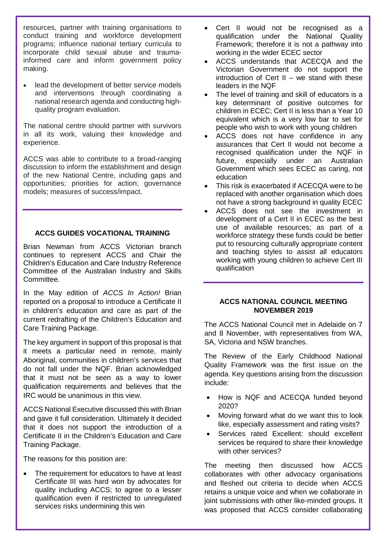resources, partner with training organisations to conduct training and workforce development programs; influence national tertiary curricula to incorporate child sexual abuse and traumainformed care and inform government policy making.

lead the development of better service models and interventions through coordinating a national research agenda and conducting highquality program evaluation.

The national centre should partner with survivors in all its work, valuing their knowledge and experience.

ACCS was able to contribute to a broad-ranging discussion to inform the establishment and design of the new National Centre, including gaps and opportunities; priorities for action; governance models; measures of success/impact.

#### **ACCS GUIDES VOCATIONAL TRAINING**

Brian Newman from ACCS Victorian branch continues to represent ACCS and Chair the Children's Education and Care Industry Reference Committee of the Australian Industry and Skills Committee.

In the May edition of *ACCS In Action!* Brian reported on a proposal to introduce a Certificate II in children's education and care as part of the current redrafting of the Children's Education and Care Training Package.

The key argument in support of this proposal is that it meets a particular need in remote, mainly Aboriginal, communities in children's services that do not fall under the NQF. Brian acknowledged that it must not be seen as a way to lower qualification requirements and believes that the IRC would be unanimous in this view.

ACCS National Executive discussed this with Brian and gave it full consideration. Ultimately it decided that it does not support the introduction of a Certificate II in the Children's Education and Care Training Package.

The reasons for this position are:

The requirement for educators to have at least Certificate III was hard won by advocates for quality including ACCS; to agree to a lesser qualification even if restricted to unregulated services risks undermining this win

- Cert II would not be recognised as a qualification under the National Quality Framework; therefore it is not a pathway into working in the wider ECEC sector
- ACCS understands that ACECQA and the Victorian Government do not support the introduction of Cert II – we stand with these leaders in the NQF
- The level of training and skill of educators is a key determinant of positive outcomes for children in ECEC; Cert II is less than a Year 10 equivalent which is a very low bar to set for people who wish to work with young children
- ACCS does not have confidence in any assurances that Cert II would not become a recognised qualification under the NQF in future, especially under an Australian Government which sees ECEC as caring, not education
- This risk is exacerbated if ACECQA were to be replaced with another organisation which does not have a strong background in quality ECEC
- ACCS does not see the investment in development of a Cert II in ECEC as the best use of available resources; as part of a workforce strategy these funds could be better put to resourcing culturally appropriate content and teaching styles to assist all educators working with young children to achieve Cert III qualification

#### **ACCS NATIONAL COUNCIL MEETING NOVEMBER 2019**

The ACCS National Council met in Adelaide on 7 and 8 November, with representatives from WA, SA, Victoria and NSW branches.

The Review of the Early Childhood National Quality Framework was the first issue on the agenda. Key questions arising from the discussion include:

- How is NQF and ACECQA funded beyond 2020?
- Moving forward what do we want this to look like, especially assessment and rating visits?
- Services rated Excellent: should excellent services be required to share their knowledge with other services?

The meeting then discussed how ACCS collaborates with other advocacy organisations and fleshed out criteria to decide when ACCS retains a unique voice and when we collaborate in joint submissions with other like-minded groups. It was proposed that ACCS consider collaborating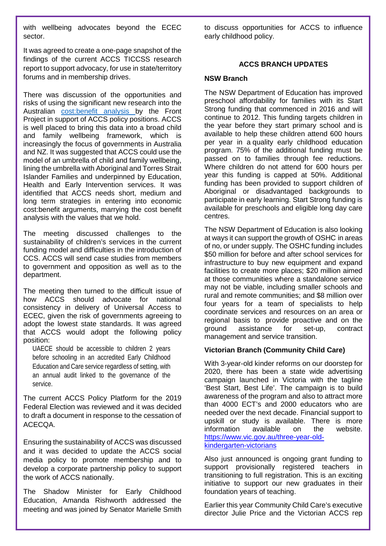with wellbeing advocates beyond the ECEC sector.

It was agreed to create a one-page snapshot of the findings of the current ACCS TICCSS research report to support advocacy, for use in state/territory forums and in membership drives.

There was discussion of the opportunities and risks of using the significant new research into the Australian [cost:benefit analysis b](https://www.thefrontproject.org.au/images/downloads/Cost-benefit%20analysis_brochure.pdf)y the Front Project in support of ACCS policy positions. ACCS is well placed to bring this data into a broad child and family wellbeing framework, which is increasingly the focus of governments in Australia and NZ. It was suggested that ACCS could use the model of an umbrella of child and family wellbeing, lining the umbrella with Aboriginal and Torres Strait Islander Families and underpinned by Education, Health and Early Intervention services. It was identified that ACCS needs short, medium and long term strategies in entering into economic cost:benefit arguments, marrying the cost benefit analysis with the values that we hold.

The meeting discussed challenges to the sustainability of children's services in the current funding model and difficulties in the introduction of CCS. ACCS will send case studies from members to government and opposition as well as to the department.

The meeting then turned to the difficult issue of how ACCS should advocate for national consistency in delivery of Universal Access to ECEC, given the risk of governments agreeing to adopt the lowest state standards. It was agreed that ACCS would adopt the following policy position:

UAECE should be accessible to children 2 years before schooling in an accredited Early Childhood Education and Care service regardless of setting, with an annual audit linked to the governance of the service.

The current ACCS Policy Platform for the 2019 Federal Election was reviewed and it was decided to draft a document in response to the cessation of ACECQA.

Ensuring the sustainability of ACCS was discussed and it was decided to update the ACCS social media policy to promote membership and to develop a corporate partnership policy to support the work of ACCS nationally.

The Shadow Minister for Early Childhood Education, Amanda Rishworth addressed the meeting and was joined by Senator Marielle Smith to discuss opportunities for ACCS to influence early childhood policy.

#### **ACCS BRANCH UPDATES**

#### **NSW Branch**

The NSW Department of Education has improved preschool affordability for families with its Start Strong funding that commenced in 2016 and will continue to 2012. This funding targets children in the year before they start primary school and is available to help these children attend 600 hours per year in a quality early childhood education program. 75% of the additional funding must be passed on to families through fee reductions. Where children do not attend for 600 hours per year this funding is capped at 50%. Additional funding has been provided to support children of Aboriginal or disadvantaged backgrounds to participate in early learning. Start Strong funding is available for preschools and eligible long day care centres.

The NSW Department of Education is also looking at ways it can support the growth of OSHC in areas of no, or under supply. The OSHC funding includes \$50 million for before and after school services for infrastructure to buy new equipment and expand facilities to create more places; \$20 million aimed at those communities where a standalone service may not be viable, including smaller schools and rural and remote communities; and \$8 million over four years for a team of specialists to help coordinate services and resources on an area or regional basis to provide proactive and on the ground assistance for set-up, contract management and service transition.

#### **Victorian Branch (Community Child Care)**

With 3-year-old kinder reforms on our doorstep for 2020, there has been a state wide advertising campaign launched in Victoria with the tagline 'Best Start, Best Life'. The campaign is to build awareness of the program and also to attract more than 4000 ECT's and 2000 educators who are needed over the next decade. Financial support to upskill or study is available. There is more information available on the website. [https://www.vic.gov.au/three-year-old](https://www.vic.gov.au/three-year-old-kindergarten-victorians)[kindergarten-victorians](https://www.vic.gov.au/three-year-old-kindergarten-victorians)

Also just announced is ongoing grant funding to support provisionally registered teachers in transitioning to full registration. This is an exciting initiative to support our new graduates in their foundation years of teaching.

Earlier this year Community Child Care's executive director Julie Price and the Victorian ACCS rep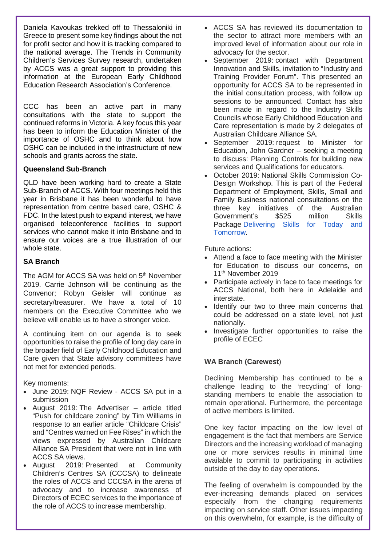Daniela Kavoukas trekked off to Thessaloniki in Greece to present some key findings about the not for profit sector and how it is tracking compared to the national average. The Trends in Community Children's Services Survey research, undertaken by ACCS was a great support to providing this information at the European Early Childhood Education Research Association's Conference.

CCC has been an active part in many consultations with the state to support the continued reforms in Victoria. A key focus this year has been to inform the Education Minister of the importance of OSHC and to think about how OSHC can be included in the infrastructure of new schools and grants across the state.

#### **Queensland Sub-Branch**

QLD have been working hard to create a State Sub-Branch of ACCS. With four meetings held this year in Brisbane it has been wonderful to have representation from centre based care, OSHC & FDC. In the latest push to expand interest, we have organised teleconference facilities to support services who cannot make it into Brisbane and to ensure our voices are a true illustration of our whole state.

#### **SA Branch**

The AGM for ACCS SA was held on 5<sup>th</sup> November 2019. Carrie Johnson will be continuing as the Convenor; Robyn Geisler will continue as secretary/treasurer. We have a total of 10 members on the Executive Committee who we believe will enable us to have a stronger voice.

A continuing item on our agenda is to seek opportunities to raise the profile of long day care in the broader field of Early Childhood Education and Care given that State advisory committees have not met for extended periods.

Key moments:

- June 2019: NQF Review ACCS SA put in a submission
- August 2019: The Advertiser article titled "Push for childcare zoning" by Tim Williams in response to an earlier article "Childcare Crisis" and "Centres warned on Fee Rises" in which the views expressed by Australian Childcare Alliance SA President that were not in line with ACCS SA views.
- August 2019: Presented at Community Children's Centres SA (CCCSA) to delineate the roles of ACCS and CCCSA in the arena of advocacy and to increase awareness of Directors of ECEC services to the importance of the role of ACCS to increase membership.
- ACCS SA has reviewed its documentation to the sector to attract more members with an improved level of information about our role in advocacy for the sector.
- September 2019: contact with Department Innovation and Skills, invitation to "Industry and Training Provider Forum". This presented an opportunity for ACCS SA to be represented in the initial consultation process, with follow up sessions to be announced. Contact has also been made in regard to the Industry Skills Councils whose Early Childhood Education and Care representation is made by 2 delegates of Australian Childcare Alliance SA.
- September 2019: request to Minister for Education, John Gardner – seeking a meeting to discuss: Planning Controls for building new services and Qualifications for educators.
- October 2019: National Skills Commission Co-Design Workshop. This is part of the Federal Department of Employment, Skills, Small and Family Business national consultations on the three key initiatives of the Australian Government's \$525 million Skills Package [Delivering Skills for Today and](https://www.employment.gov.au/node/10312)  [Tomorrow.](https://www.employment.gov.au/node/10312)

Future actions:

- Attend a face to face meeting with the Minister for Education to discuss our concerns, on 11<sup>th</sup> November 2019
- Participate actively in face to face meetings for ACCS National, both here in Adelaide and interstate.
- Identify our two to three main concerns that could be addressed on a state level, not just nationally.
- Investigate further opportunities to raise the profile of ECEC

#### **WA Branch (Carewest**)

Declining Membership has continued to be a challenge leading to the 'recycling' of longstanding members to enable the association to remain operational. Furthermore, the percentage of active members is limited.

One key factor impacting on the low level of engagement is the fact that members are Service Directors and the increasing workload of managing one or more services results in minimal time available to commit to participating in activities outside of the day to day operations.

The feeling of overwhelm is compounded by the ever-increasing demands placed on services especially from the changing requirements impacting on service staff. Other issues impacting on this overwhelm, for example, is the difficulty of